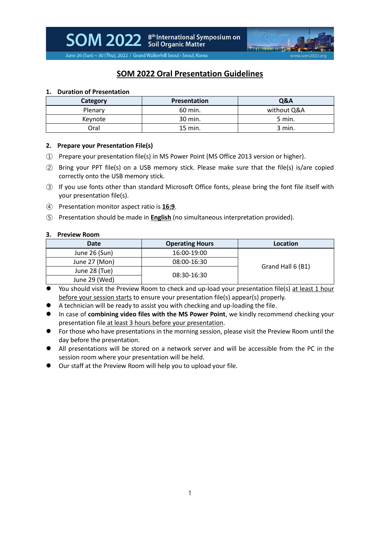

June 26 (Sun) ~ 30 (Thu), 2022 / Grand Walkerhill Seoul • Seoul, Korea

# **SOM 2022 Oral Presentation Guidelines**

## **1. Duration of Presentation**

| Category | <b>Presentation</b> | Q&A         |
|----------|---------------------|-------------|
| Plenary  | 60 min.             | without Q&A |
| Keynote  | 30 min.             | 5 min.      |
| Oral     | 15 min.             | 3 min.      |

#### **2. Prepare your Presentation File(s)**

- ① Prepare your presentation file(s) in MS Power Point (MS Office 2013 version or higher).
- ② Bring your PPT file(s) on a USB memory stick. Please make sure that the file(s) is/are copied correctly onto the USB memory stick.
- ③ If you use fonts other than standard Microsoft Office fonts, please bring the font file itself with your presentation file(s).
- ④ Presentation monitor aspect ratio is **16:9**.
- ⑤ Presentation should be made in **English** (no simultaneous interpretation provided).

#### **3. Preview Room**

| Date          | <b>Operating Hours</b> | Location          |
|---------------|------------------------|-------------------|
| June 26 (Sun) | 16:00-19:00            | Grand Hall 6 (B1) |
| June 27 (Mon) | 08:00-16:30            |                   |
| June 28 (Tue) | 08:30-16:30            |                   |
| June 29 (Wed) |                        |                   |

- You should visit the Preview Room to check and up-load your presentation file(s) at least 1 hour before your session starts to ensure your presentation file(s) appear(s) properly.
- A technician will be ready to assist you with checking and up-loading the file.
- ⚫ In case of **combining video files with the MS Power Point**, we kindly recommend checking your presentation file at least 3 hours before your presentation.
- ⚫ For those who have presentations in the morning session, please visit the Preview Room until the day before the presentation.
- ⚫ All presentations will be stored on a network server and will be accessible from the PC in the session room where your presentation will be held.
- Our staff at the Preview Room will help you to upload your file.